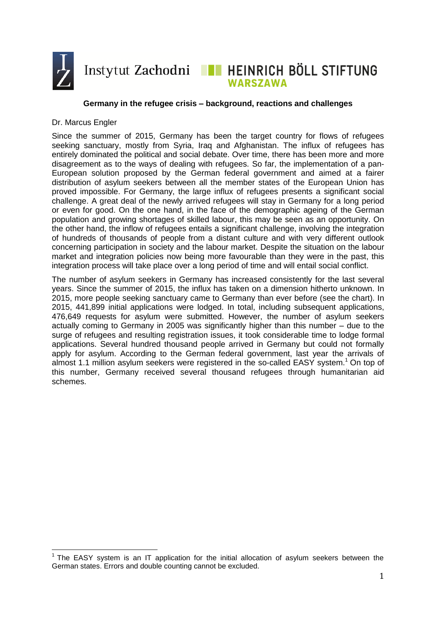

# WARSZAWA

## **Germany in the refugee crisis – background, reactions and challenges**

#### Dr. Marcus Engler

 $\overline{\phantom{a}}$ 

Since the summer of 2015, Germany has been the target country for flows of refugees seeking sanctuary, mostly from Syria, Iraq and Afghanistan. The influx of refugees has entirely dominated the political and social debate. Over time, there has been more and more disagreement as to the ways of dealing with refugees. So far, the implementation of a pan-European solution proposed by the German federal government and aimed at a fairer distribution of asylum seekers between all the member states of the European Union has proved impossible. For Germany, the large influx of refugees presents a significant social challenge. A great deal of the newly arrived refugees will stay in Germany for a long period or even for good. On the one hand, in the face of the demographic ageing of the German population and growing shortages of skilled labour, this may be seen as an opportunity. On the other hand, the inflow of refugees entails a significant challenge, involving the integration of hundreds of thousands of people from a distant culture and with very different outlook concerning participation in society and the labour market. Despite the situation on the labour market and integration policies now being more favourable than they were in the past, this integration process will take place over a long period of time and will entail social conflict.

The number of asylum seekers in Germany has increased consistently for the last several years. Since the summer of 2015, the influx has taken on a dimension hitherto unknown. In 2015, more people seeking sanctuary came to Germany than ever before (see the chart). In 2015, 441,899 initial applications were lodged. In total, including subsequent applications, 476,649 requests for asylum were submitted. However, the number of asylum seekers actually coming to Germany in 2005 was significantly higher than this number – due to the surge of refugees and resulting registration issues, it took considerable time to lodge formal applications. Several hundred thousand people arrived in Germany but could not formally apply for asylum. According to the German federal government, last year the arrivals of almost 1.1 million asylum seekers were registered in the so-called EASY system. <sup>1</sup> On top of this number, Germany received several thousand refugees through humanitarian aid schemes.

<sup>1</sup> The EASY system is an IT application for the initial allocation of asylum seekers between the German states. Errors and double counting cannot be excluded.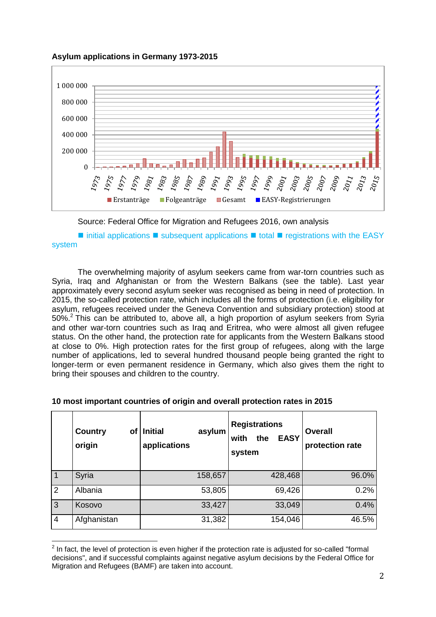



Source: Federal Office for Migration and Refugees 2016, own analysis

 $\blacksquare$  initial applications  $\blacksquare$  subsequent applications  $\blacksquare$  total  $\blacksquare$  registrations with the EASY system

The overwhelming majority of asylum seekers came from war-torn countries such as Syria, Iraq and Afghanistan or from the Western Balkans (see the table). Last year approximately every second asylum seeker was recognised as being in need of protection. In 2015, the so-called protection rate, which includes all the forms of protection (i.e. eligibility for asylum, refugees received under the Geneva Convention and subsidiary protection) stood at 50%.<sup>2</sup> This can be attributed to, above all, a high proportion of asylum seekers from Syria and other war-torn countries such as Iraq and Eritrea, who were almost all given refugee status. On the other hand, the protection rate for applicants from the Western Balkans stood at close to 0%. High protection rates for the first group of refugees, along with the large number of applications, led to several hundred thousand people being granted the right to longer-term or even permanent residence in Germany, which also gives them the right to bring their spouses and children to the country.

|                | <b>Country</b><br>οf<br>origin | <b>Initial</b><br>asylum<br>applications | <b>Registrations</b><br><b>EASY</b><br>with<br>the<br>system | <b>Overall</b><br>protection rate |
|----------------|--------------------------------|------------------------------------------|--------------------------------------------------------------|-----------------------------------|
| $\overline{1}$ | Syria                          | 158,657                                  | 428,468                                                      | 96.0%                             |
| $\overline{2}$ | Albania                        | 53,805                                   | 69,426                                                       | 0.2%                              |
| $\overline{3}$ | Kosovo                         | 33,427                                   | 33,049                                                       | 0.4%                              |
| $\overline{4}$ | Afghanistan                    | 31,382                                   | 154,046                                                      | 46.5%                             |

# **10 most important countries of origin and overall protection rates in 2015**

<sup>&</sup>lt;u>2</u><br>The fact, the level of protection is even higher if the protection rate is adjusted for so-called "formal" decisions", and if successful complaints against negative asylum decisions by the Federal Office for Migration and Refugees (BAMF) are taken into account.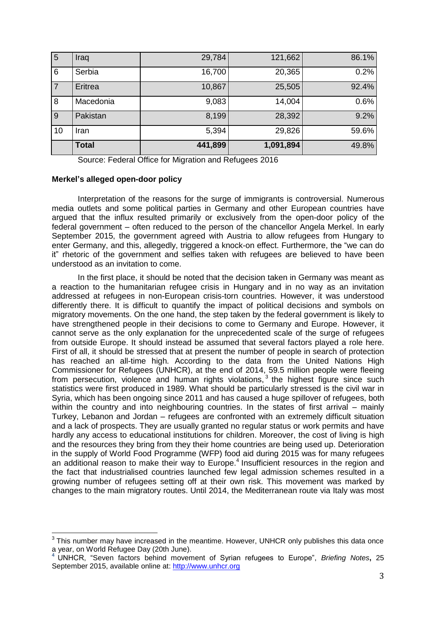| $\overline{5}$ | Iraq         | 29,784  | 121,662   | 86.1% |
|----------------|--------------|---------|-----------|-------|
| 6              | Serbia       | 16,700  | 20,365    | 0.2%  |
| 7              | Eritrea      | 10,867  | 25,505    | 92.4% |
| 8              | Macedonia    | 9,083   | 14,004    | 0.6%  |
| $\overline{9}$ | Pakistan     | 8,199   | 28,392    | 9.2%  |
| 10             | Iran         | 5,394   | 29,826    | 59.6% |
|                | <b>Total</b> | 441,899 | 1,091,894 | 49.8% |

Source: Federal Office for Migration and Refugees 2016

### **Merkel's alleged open-door policy**

Interpretation of the reasons for the surge of immigrants is controversial. Numerous media outlets and some political parties in Germany and other European countries have argued that the influx resulted primarily or exclusively from the open-door policy of the federal government – often reduced to the person of the chancellor Angela Merkel. In early September 2015, the government agreed with Austria to allow refugees from Hungary to enter Germany, and this, allegedly, triggered a knock-on effect. Furthermore, the "we can do it" rhetoric of the government and selfies taken with refugees are believed to have been understood as an invitation to come.

In the first place, it should be noted that the decision taken in Germany was meant as a reaction to the humanitarian refugee crisis in Hungary and in no way as an invitation addressed at refugees in non-European crisis-torn countries. However, it was understood differently there. It is difficult to quantify the impact of political decisions and symbols on migratory movements. On the one hand, the step taken by the federal government is likely to have strengthened people in their decisions to come to Germany and Europe. However, it cannot serve as the only explanation for the unprecedented scale of the surge of refugees from outside Europe. It should instead be assumed that several factors played a role here. First of all, it should be stressed that at present the number of people in search of protection has reached an all-time high. According to the data from the United Nations High Commissioner for Refugees (UNHCR), at the end of 2014, 59.5 million people were fleeing from persecution, violence and human rights violations,<sup>3</sup> the highest figure since such statistics were first produced in 1989. What should be particularly stressed is the civil war in Syria, which has been ongoing since 2011 and has caused a huge spillover of refugees, both within the country and into neighbouring countries. In the states of first arrival – mainly Turkey, Lebanon and Jordan – refugees are confronted with an extremely difficult situation and a lack of prospects. They are usually granted no regular status or work permits and have hardly any access to educational institutions for children. Moreover, the cost of living is high and the resources they bring from they their home countries are being used up. Deterioration in the supply of World Food Programme (WFP) food aid during 2015 was for many refugees an additional reason to make their way to Europe.<sup>4</sup> Insufficient resources in the region and the fact that industrialised countries launched few legal admission schemes resulted in a growing number of refugees setting off at their own risk. This movement was marked by changes to the main migratory routes. Until 2014, the Mediterranean route via Italy was most

 3 This number may have increased in the meantime. However, UNHCR only publishes this data once a year, on World Refugee Day (20th June).

**<sup>4</sup>** UNHCR, "Seven factors behind movement of Syrian refugees to Europe", *Briefing Notes***,** 25 September 2015, available online at: [http://www.unhcr.org](http://www.unhcr.org/560523f26.html)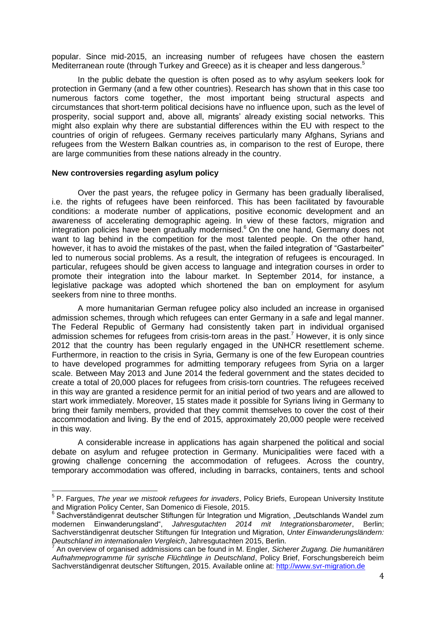popular. Since mid-2015, an increasing number of refugees have chosen the eastern Mediterranean route (through Turkey and Greece) as it is cheaper and less dangerous.<sup>5</sup>

In the public debate the question is often posed as to why asylum seekers look for protection in Germany (and a few other countries). Research has shown that in this case too numerous factors come together, the most important being structural aspects and circumstances that short-term political decisions have no influence upon, such as the level of prosperity, social support and, above all, migrants' already existing social networks. This might also explain why there are substantial differences within the EU with respect to the countries of origin of refugees. Germany receives particularly many Afghans, Syrians and refugees from the Western Balkan countries as, in comparison to the rest of Europe, there are large communities from these nations already in the country.

#### **New controversies regarding asylum policy**

Over the past years, the refugee policy in Germany has been gradually liberalised, i.e. the rights of refugees have been reinforced. This has been facilitated by favourable conditions: a moderate number of applications, positive economic development and an awareness of accelerating demographic ageing. In view of these factors, migration and integration policies have been gradually modernised.<sup>6</sup> On the one hand, Germany does not want to lag behind in the competition for the most talented people. On the other hand, however, it has to avoid the mistakes of the past, when the failed integration of "Gastarbeiter" led to numerous social problems. As a result, the integration of refugees is encouraged. In particular, refugees should be given access to language and integration courses in order to promote their integration into the labour market. In September 2014, for instance, a legislative package was adopted which shortened the ban on employment for asylum seekers from nine to three months.

A more humanitarian German refugee policy also included an increase in organised admission schemes, through which refugees can enter Germany in a safe and legal manner. The Federal Republic of Germany had consistently taken part in individual organised admission schemes for refugees from crisis-torn areas in the past.<sup>7</sup> However, it is only since 2012 that the country has been regularly engaged in the UNHCR resettlement scheme. Furthermore, in reaction to the crisis in Syria, Germany is one of the few European countries to have developed programmes for admitting temporary refugees from Syria on a larger scale. Between May 2013 and June 2014 the federal government and the states decided to create a total of 20,000 places for refugees from crisis-torn countries. The refugees received in this way are granted a residence permit for an initial period of two years and are allowed to start work immediately. Moreover, 15 states made it possible for Syrians living in Germany to bring their family members, provided that they commit themselves to cover the cost of their accommodation and living. By the end of 2015, approximately 20,000 people were received in this way.

A considerable increase in applications has again sharpened the political and social debate on asylum and refugee protection in Germany. Municipalities were faced with a growing challenge concerning the accommodation of refugees. Across the country, temporary accommodation was offered, including in barracks, containers, tents and school

 5 P. Fargues, *The year we mistook refugees for invaders*, Policy Briefs, European University Institute and Migration Policy Center, San Domenico di Fiesole, 2015.

<sup>&</sup>lt;sup>6</sup> Sachverständigenrat deutscher Stiftungen für Integration und Migration, "Deutschlands Wandel zum modernen Einwanderungsland", *Jahresgutachten 2014 mit Integrationsbarometer*, Berlin; Sachverständigenrat deutscher Stiftungen für Integration und Migration, *Unter Einwanderungsländern: Deutschland im internationalen Vergleich*, Jahresgutachten 2015, Berlin.

<sup>7</sup> An overview of organised addmissions can be found in M. Engler, *Sicherer Zugang. Die humanitären Aufnahmeprogramme für syrische Flüchtlinge in Deutschland*, Policy Brief, Forschungsbereich beim Sachverständigenrat deutscher Stiftungen, 2015. Available online at: [http://www.svr-migration.de](http://www.svr-migration.de/wp-content/uploads/2015/10/Sicherer-Zugang.-Die-humanit%C3%A4ren-Aufnahmeprogramme-f%C3%BCr-syrische-Fl%C3%BCchtlinge.pdf)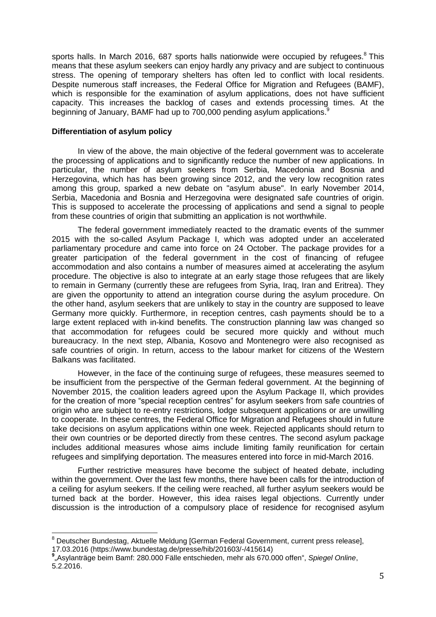sports halls. In March 2016, 687 sports halls nationwide were occupied by refugees. $8$  This means that these asylum seekers can enjoy hardly any privacy and are subject to continuous stress. The opening of temporary shelters has often led to conflict with local residents. Despite numerous staff increases, the Federal Office for Migration and Refugees (BAMF), which is responsible for the examination of asylum applications, does not have sufficient capacity. This increases the backlog of cases and extends processing times. At the beginning of January, BAMF had up to 700,000 pending asylum applications.<sup>9</sup>

### **Differentiation of asylum policy**

 $\overline{\phantom{a}}$ 

In view of the above, the main objective of the federal government was to accelerate the processing of applications and to significantly reduce the number of new applications. In particular, the number of asylum seekers from Serbia, Macedonia and Bosnia and Herzegovina, which has has been growing since 2012, and the very low recognition rates among this group, sparked a new debate on "asylum abuse". In early November 2014, Serbia, Macedonia and Bosnia and Herzegovina were designated safe countries of origin. This is supposed to accelerate the processing of applications and send a signal to people from these countries of origin that submitting an application is not worthwhile.

The federal government immediately reacted to the dramatic events of the summer 2015 with the so-called Asylum Package I, which was adopted under an accelerated parliamentary procedure and came into force on 24 October. The package provides for a greater participation of the federal government in the cost of financing of refugee accommodation and also contains a number of measures aimed at accelerating the asylum procedure. The objective is also to integrate at an early stage those refugees that are likely to remain in Germany (currently these are refugees from Syria, Iraq, Iran and Eritrea). They are given the opportunity to attend an integration course during the asylum procedure. On the other hand, asylum seekers that are unlikely to stay in the country are supposed to leave Germany more quickly. Furthermore, in reception centres, cash payments should be to a large extent replaced with in-kind benefits. The construction planning law was changed so that accommodation for refugees could be secured more quickly and without much bureaucracy. In the next step, Albania, Kosovo and Montenegro were also recognised as safe countries of origin. In return, access to the labour market for citizens of the Western Balkans was facilitated.

However, in the face of the continuing surge of refugees, these measures seemed to be insufficient from the perspective of the German federal government. At the beginning of November 2015, the coalition leaders agreed upon the Asylum Package II, which provides for the creation of more "special reception centres" for asylum seekers from safe countries of origin who are subject to re-entry restrictions, lodge subsequent applications or are unwilling to cooperate. In these centres, the Federal Office for Migration and Refugees should in future take decisions on asylum applications within one week. Rejected applicants should return to their own countries or be deported directly from these centres. The second asylum package includes additional measures whose aims include limiting family reunification for certain refugees and simplifying deportation. The measures entered into force in mid-March 2016.

Further restrictive measures have become the subject of heated debate, including within the government. Over the last few months, there have been calls for the introduction of a ceiling for asylum seekers. If the ceiling were reached, all further asylum seekers would be turned back at the border. However, this idea raises legal objections. Currently under discussion is the introduction of a compulsory place of residence for recognised asylum

<sup>8</sup> Deutscher Bundestag, Aktuelle Meldung [German Federal Government, current press release], 17.03.2016 (https://www.bundestag.de/presse/hib/201603/-/415614)

**<sup>9</sup>** "Asylanträge beim Bamf: 280.000 Fälle entschieden, mehr als 670.000 offen", *Spiegel Online*, 5.2.2016.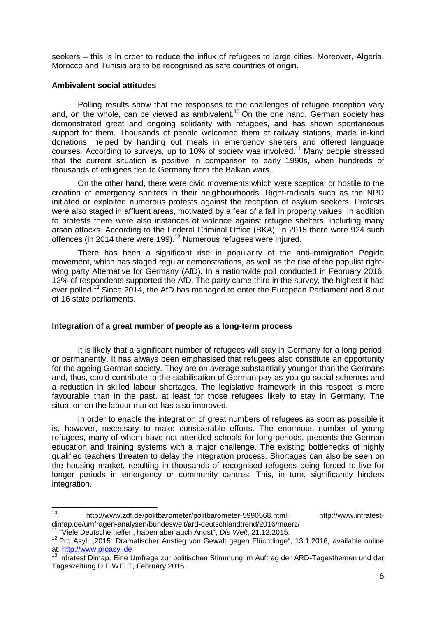seekers – this is in order to reduce the influx of refugees to large cities. Moreover, Algeria, Morocco and Tunisia are to be recognised as safe countries of origin.

# **Ambivalent social attitudes**

Polling results show that the responses to the challenges of refugee reception vary and, on the whole, can be viewed as ambivalent.<sup>10</sup> On the one hand, German society has demonstrated great and ongoing solidarity with refugees, and has shown spontaneous support for them. Thousands of people welcomed them at railway stations, made in-kind donations, helped by handing out meals in emergency shelters and offered language courses. According to surveys, up to 10% of society was involved.<sup>11</sup> Many people stressed that the current situation is positive in comparison to early 1990s, when hundreds of thousands of refugees fled to Germany from the Balkan wars.

On the other hand, there were civic movements which were sceptical or hostile to the creation of emergency shelters in their neighbourhoods. Right-radicals such as the NPD initiated or exploited numerous protests against the reception of asylum seekers. Protests were also staged in affluent areas, motivated by a fear of a fall in property values. In addition to protests there were also instances of violence against refugee shelters, including many arson attacks. According to the Federal Criminal Office (BKA), in 2015 there were 924 such offences (in 2014 there were 199).<sup>12</sup> Numerous refugees were injured.

There has been a significant rise in popularity of the anti-immigration Pegida movement, which has staged regular demonstrations, as well as the rise of the populist rightwing party Alternative for Germany (AfD). In a nationwide poll conducted in February 2016, 12% of respondents supported the AfD. The party came third in the survey, the highest it had ever polled.<sup>13</sup> Since 2014, the AfD has managed to enter the European Parliament and 8 out of 16 state parliaments.

# **Integration of a great number of people as a long-term process**

It is likely that a significant number of refugees will stay in Germany for a long period, or permanently. It has always been emphasised that refugees also constitute an opportunity for the ageing German society. They are on average substantially younger than the Germans and, thus, could contribute to the stabilisation of German pay-as-you-go social schemes and a reduction in skilled labour shortages. The legislative framework in this respect is more favourable than in the past, at least for those refugees likely to stay in Germany. The situation on the labour market has also improved.

In order to enable the integration of great numbers of refugees as soon as possible it is, however, necessary to make considerable efforts. The enormous number of young refugees, many of whom have not attended schools for long periods, presents the German education and training systems with a major challenge. The existing bottlenecks of highly qualified teachers threaten to delay the integration process. Shortages can also be seen on the housing market, resulting in thousands of recognised refugees being forced to live for longer periods in emergency or community centres. This, in turn, significantly hinders integration.

 $10<sup>10</sup>$ http://www.zdf.de/politbarometer/politbarometer-5990568.html; http://www.infratestdimap.de/umfragen-analysen/bundesweit/ard-deutschlandtrend/2016/maerz/

<sup>11</sup> "Viele Deutsche helfen, haben aber auch Angst", *Die Welt*, 21.12.2015.

<sup>&</sup>lt;sup>12</sup> Pro Asyl, "2015: Dramatischer Anstieg von Gewalt gegen Flüchtlinge", 13.1.2016, available online at: <u>[http://www.proasyl.de](http://www.proasyl.de/de/news/detail/news/2015_dramatischer_anstieg_von_gewalt_gegen_fluechtlinge/)</u>

<sup>&</sup>lt;sup>13</sup> Infratest Dimap, Eine Umfrage zur politischen Stimmung im Auftrag der ARD-Tagesthemen und der Tageszeitung DIE WELT, February 2016.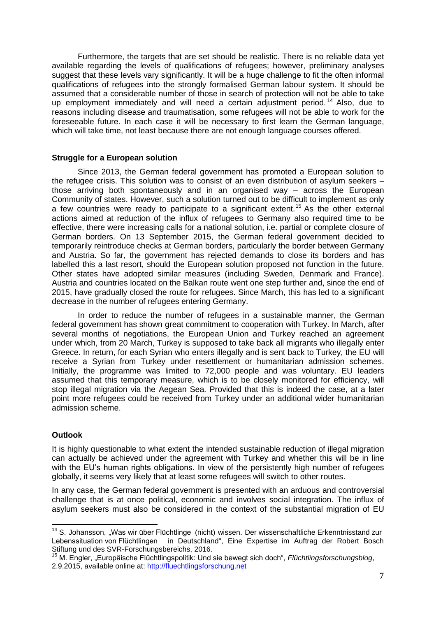Furthermore, the targets that are set should be realistic. There is no reliable data yet available regarding the levels of qualifications of refugees; however, preliminary analyses suggest that these levels vary significantly. It will be a huge challenge to fit the often informal qualifications of refugees into the strongly formalised German labour system. It should be assumed that a considerable number of those in search of protection will not be able to take up employment immediately and will need a certain adjustment period.<sup>14</sup> Also, due to reasons including disease and traumatisation, some refugees will not be able to work for the foreseeable future. In each case it will be necessary to first learn the German language, which will take time, not least because there are not enough language courses offered.

### **Struggle for a European solution**

Since 2013, the German federal government has promoted a European solution to the refugee crisis. This solution was to consist of an even distribution of asylum seekers – those arriving both spontaneously and in an organised way – across the European Community of states. However, such a solution turned out to be difficult to implement as only a few countries were ready to participate to a significant extent.<sup>15</sup> As the other external actions aimed at reduction of the influx of refugees to Germany also required time to be effective, there were increasing calls for a national solution, i.e. partial or complete closure of German borders. On 13 September 2015, the German federal government decided to temporarily reintroduce checks at German borders, particularly the border between Germany and Austria. So far, the government has rejected demands to close its borders and has labelled this a last resort, should the European solution proposed not function in the future. Other states have adopted similar measures (including Sweden, Denmark and France). Austria and countries located on the Balkan route went one step further and, since the end of 2015, have gradually closed the route for refugees. Since March, this has led to a significant decrease in the number of refugees entering Germany.

In order to reduce the number of refugees in a sustainable manner, the German federal government has shown great commitment to cooperation with Turkey. In March, after several months of negotiations, the European Union and Turkey reached an agreement under which, from 20 March, Turkey is supposed to take back all migrants who illegally enter Greece. In return, for each Syrian who enters illegally and is sent back to Turkey, the EU will receive a Syrian from Turkey under resettlement or humanitarian admission schemes. Initially, the programme was limited to 72,000 people and was voluntary. EU leaders assumed that this temporary measure, which is to be closely monitored for efficiency, will stop illegal migration via the Aegean Sea. Provided that this is indeed the case, at a later point more refugees could be received from Turkey under an additional wider humanitarian admission scheme.

# **Outlook**

 $\overline{\phantom{a}}$ 

It is highly questionable to what extent the intended sustainable reduction of illegal migration can actually be achieved under the agreement with Turkey and whether this will be in line with the EU's human rights obligations. In view of the persistently high number of refugees globally, it seems very likely that at least some refugees will switch to other routes.

In any case, the German federal government is presented with an arduous and controversial challenge that is at once political, economic and involves social integration. The influx of asylum seekers must also be considered in the context of the substantial migration of EU

 $14$  S. Johansson, "Was wir über Flüchtlinge (nicht) wissen. Der wissenschaftliche Erkenntnisstand zur Lebenssituation von Flüchtlingen in Deutschland", Eine Expertise im Auftrag der Robert Bosch Stiftung und des SVR-Forschungsbereichs, 2016.

<sup>15</sup> M. Engler, "Europäische Flüchtlingspolitik: Und sie bewegt sich doch", *Flüchtlingsforschungsblog*, 2.9.2015, available online at: [http://fluechtlingsforschung.net](http://fluechtlingsforschung.net/europaische-fluchtlingspolitik-und-sie-bewegt-sich-doch/)